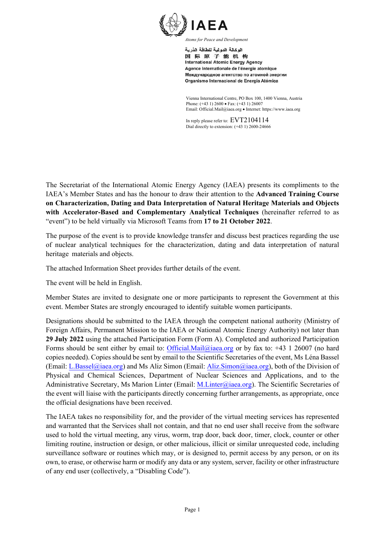

اله كالة الده لبة للطاقة الذرية 国际原子能机构 **International Atomic Energy Agency** Agence internationale de l'énergie atomique Международное агентство по атомной энергии Organismo Internacional de Energía Atómica

Vienna International Centre, PO Box 100, 1400 Vienna, Austria Phone: (+43 1) 2600 • Fax: (+43 1) 26007 Email: Official.Mail@iaea.org · Internet: https://www.iaea.org

In reply please refer to: EVT2104114 Dial directly to extension: (+43 1) 2600-24666

The Secretariat of the International Atomic Energy Agency (IAEA) presents its compliments to the IAEA's Member States and has the honour to draw their attention to the **Advanced Training Course on Characterization, Dating and Data Interpretation of Natural Heritage Materials and Objects with Accelerator-Based and Complementary Analytical Techniques** (hereinafter referred to as "event") to be held virtually via Microsoft Teams from **17 to 21 October 2022**.

The purpose of the event is to provide knowledge transfer and discuss best practices regarding the use of nuclear analytical techniques for the characterization, dating and data interpretation of natural heritage materials and objects.

The attached Information Sheet provides further details of the event.

The event will be held in English.

Member States are invited to designate one or more participants to represent the Government at this event. Member States are strongly encouraged to identify suitable women participants.

Designations should be submitted to the IAEA through the competent national authority (Ministry of Foreign Affairs, Permanent Mission to the IAEA or National Atomic Energy Authority) not later than **29 July 2022** using the attached Participation Form (Form A). Completed and authorized Participation Forms should be sent either by email to: Official.Mail@iaea.org or by fax to: +43 1 26007 (no hard copies needed). Copies should be sent by email to the Scientific Secretaries of the event, Ms Léna Bassel (Email: L.Bassel@iaea.org) and Ms Aliz Simon (Email: Aliz.Simon@iaea.org), both of the Division of Physical and Chemical Sciences, Department of Nuclear Sciences and Applications, and to the Administrative Secretary, Ms Marion Linter (Email: M.Linter@iaea.org). The Scientific Secretaries of the event will liaise with the participants directly concerning further arrangements, as appropriate, once the official designations have been received.

The IAEA takes no responsibility for, and the provider of the virtual meeting services has represented and warranted that the Services shall not contain, and that no end user shall receive from the software used to hold the virtual meeting, any virus, worm, trap door, back door, timer, clock, counter or other limiting routine, instruction or design, or other malicious, illicit or similar unrequested code, including surveillance software or routines which may, or is designed to, permit access by any person, or on its own, to erase, or otherwise harm or modify any data or any system, server, facility or other infrastructure of any end user (collectively, a "Disabling Code").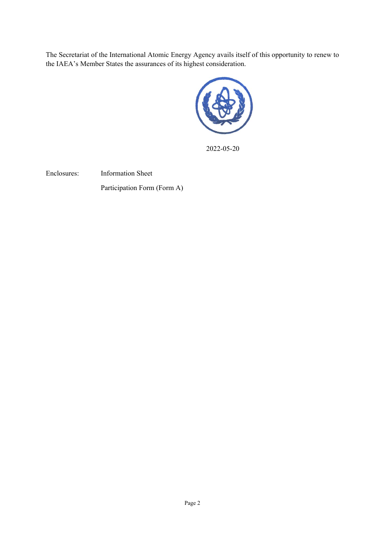The Secretariat of the International Atomic Energy Agency avails itself of this opportunity to renew to the IAEA's Member States the assurances of its highest consideration.



2022-05-20

Enclosures: Information Sheet

Participation Form (Form A)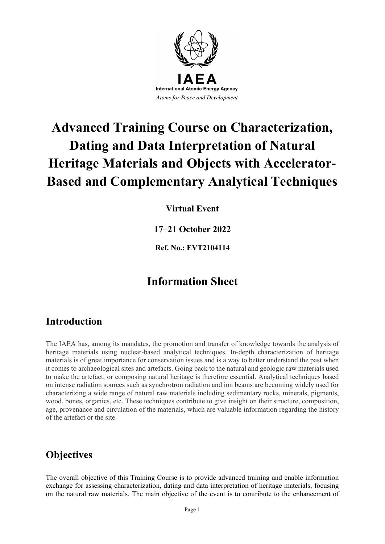

# **Advanced Training Course on Characterization, Dating and Data Interpretation of Natural Heritage Materials and Objects with Accelerator-Based and Complementary Analytical Techniques**

**Virtual Event**

**17–21 October 2022**

**Ref. No.: [EVT2104114](https://wls.iaea.org/IAEATMS/faces/EventSearch.jsf?langCode=US&resetParam=1)**

### **Information Sheet**

#### **Introduction**

The IAEA has, among its mandates, the promotion and transfer of knowledge towards the analysis of heritage materials using nuclear-based analytical techniques. In-depth characterization of heritage materials is of great importance for conservation issues and is a way to better understand the past when it comes to archaeological sites and artefacts. Going back to the natural and geologic raw materials used to make the artefact, or composing natural heritage is therefore essential. Analytical techniques based on intense radiation sources such as synchrotron radiation and ion beams are becoming widely used for characterizing a wide range of natural raw materials including sedimentary rocks, minerals, pigments, wood, bones, organics, etc. These techniques contribute to give insight on their structure, composition, age, provenance and circulation of the materials, which are valuable information regarding the history of the artefact or the site.

### **Objectives**

The overall objective of this Training Course is to provide advanced training and enable information exchange for assessing characterization, dating and data interpretation of heritage materials, focusing on the natural raw materials. The main objective of the event is to contribute to the enhancement of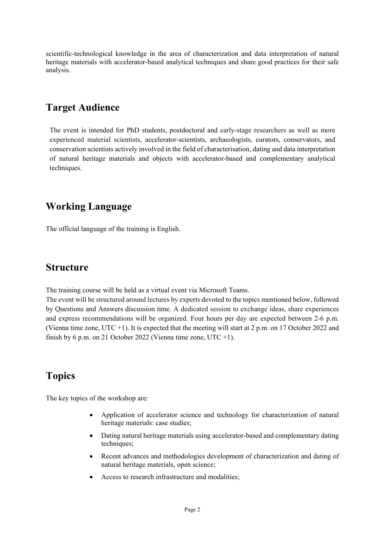scientific-technological knowledge in the area of characterization and data interpretation of natural heritage materials with accelerator-based analytical techniques and share good practices for their safe analysis.

### **Target Audience**

The event is intended for PhD students, postdoctoral and early-stage researchers as well as more experienced material scientists, accelerator-scientists, archaeologists, curators, conservators, and conservation scientists actively involved in the field of characterisation, dating and data interpretation of natural heritage materials and objects with accelerator-based and complementary analytical techniques.

#### **Working Language**

The official language of the training is English.

#### **Structure**

The training course will be held as a virtual event via Microsoft Teams.

The event will be structured around lectures by experts devoted to the topics mentioned below, followed by Questions and Answers discussion time. A dedicated session to exchange ideas, share experiences and express recommendations will be organized. Four hours per day are expected between 2-6 p.m. (Vienna time zone, UTC +1). It is expected that the meeting will start at 2 p.m. on 17 October 2022 and finish by 6 p.m. on 21 October 2022 (Vienna time zone, UTC  $+1$ ).

### **Topics**

The key topics of the workshop are:

- Application of accelerator science and technology for characterization of natural heritage materials: case studies;
- Dating natural heritage materials using accelerator-based and complementary dating techniques;
- Recent advances and methodologies development of characterization and dating of natural heritage materials, open science;
- Access to research infrastructure and modalities;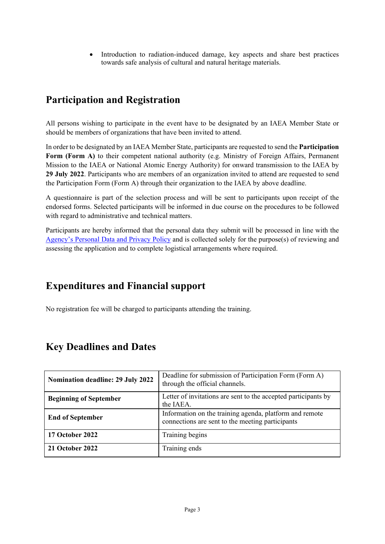• Introduction to radiation-induced damage, key aspects and share best practices towards safe analysis of cultural and natural heritage materials.

### **Participation and Registration**

All persons wishing to participate in the event have to be designated by an IAEA Member State or should be members of organizations that have been invited to attend.

In order to be designated by an IAEA Member State, participants are requested to send the **Participation Form (Form A)** to their competent national authority (e.g. Ministry of Foreign Affairs, Permanent Mission to the IAEA or National Atomic Energy Authority) for onward transmission to the IAEA by **29 July 2022**. Participants who are members of an organization invited to attend are requested to send the Participation Form (Form A) through their organization to the IAEA by above deadline.

A questionnaire is part of the selection process and will be sent to participants upon receipt of the endorsed forms. Selected participants will be informed in due course on the procedures to be followed with regard to administrative and technical matters.

Participants are hereby informed that the personal data they submit will be processed in line with the [Agency's Personal Data and Privacy Policy](https://www.iaea.org/about/privacy-policy#:%7E:text=The%20IAEA%20is%20committed%20to,accountable%20and%20non%2Ddiscriminatory%20manner.&text=The%20Privacy%20Policy%20provides%20the,carrying%20out%20its%20mandated%20activities.) and is collected solely for the purpose(s) of reviewing and assessing the application and to complete logistical arrangements where required.

#### **Expenditures and Financial support**

No registration fee will be charged to participants attending the training.

| <b>Nomination deadline: 29 July 2022</b> | Deadline for submission of Participation Form (Form A)<br>through the official channels.                    |  |
|------------------------------------------|-------------------------------------------------------------------------------------------------------------|--|
| <b>Beginning of September</b>            | Letter of invitations are sent to the accepted participants by<br>the IAEA.                                 |  |
| <b>End of September</b>                  | Information on the training agenda, platform and remote<br>connections are sent to the meeting participants |  |
| 17 October 2022                          | Training begins                                                                                             |  |
| <b>21 October 2022</b>                   | Training ends                                                                                               |  |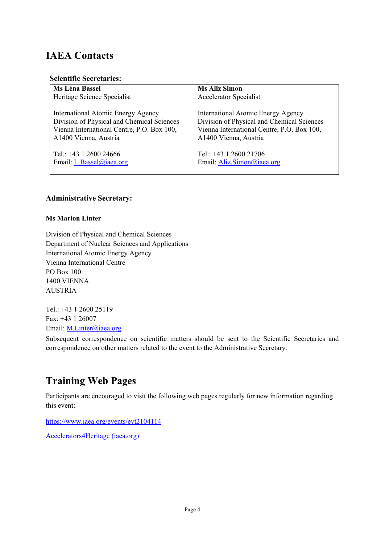### **IAEA Contacts**

#### **Scientific Secretaries:**

| Ms Léna Bassel                             | <b>Ms Aliz Simon</b>                       |  |
|--------------------------------------------|--------------------------------------------|--|
| Heritage Science Specialist                | <b>Accelerator Specialist</b>              |  |
| International Atomic Energy Agency         | International Atomic Energy Agency         |  |
| Division of Physical and Chemical Sciences | Division of Physical and Chemical Sciences |  |
| Vienna International Centre, P.O. Box 100, | Vienna International Centre, P.O. Box 100, |  |
| A1400 Vienna, Austria                      | A1400 Vienna, Austria                      |  |
| Tel.: +43 1 2600 24666                     | Tel.: +43 1 2600 21706                     |  |
| Email: L.Bassel@iaea.org                   | Email: Aliz.Simon@iaea.org                 |  |

#### **Administrative Secretary:**

#### **Ms Marion Linter**

Division of Physical and Chemical Sciences Department of Nuclear Sciences and Applications International Atomic Energy Agency Vienna International Centre PO Box 100 1400 VIENNA AUSTRIA

Tel.: +43 1 2600 25119 Fax: +43 1 26007 Email: [M.Linter@iaea.org](mailto:M.Linter@iaea.org)

Subsequent correspondence on scientific matters should be sent to the Scientific Secretaries and correspondence on other matters related to the event to the Administrative Secretary.

#### **Training Web Pages**

Participants are encouraged to visit the following web pages regularly for new information regarding this event:

<https://www.iaea.org/events/evt2104114>

[Accelerators4Heritage \(iaea.org\)](https://nucleus.iaea.org/sites/accelerators/Pages/Accelerators4Heritage.aspx)